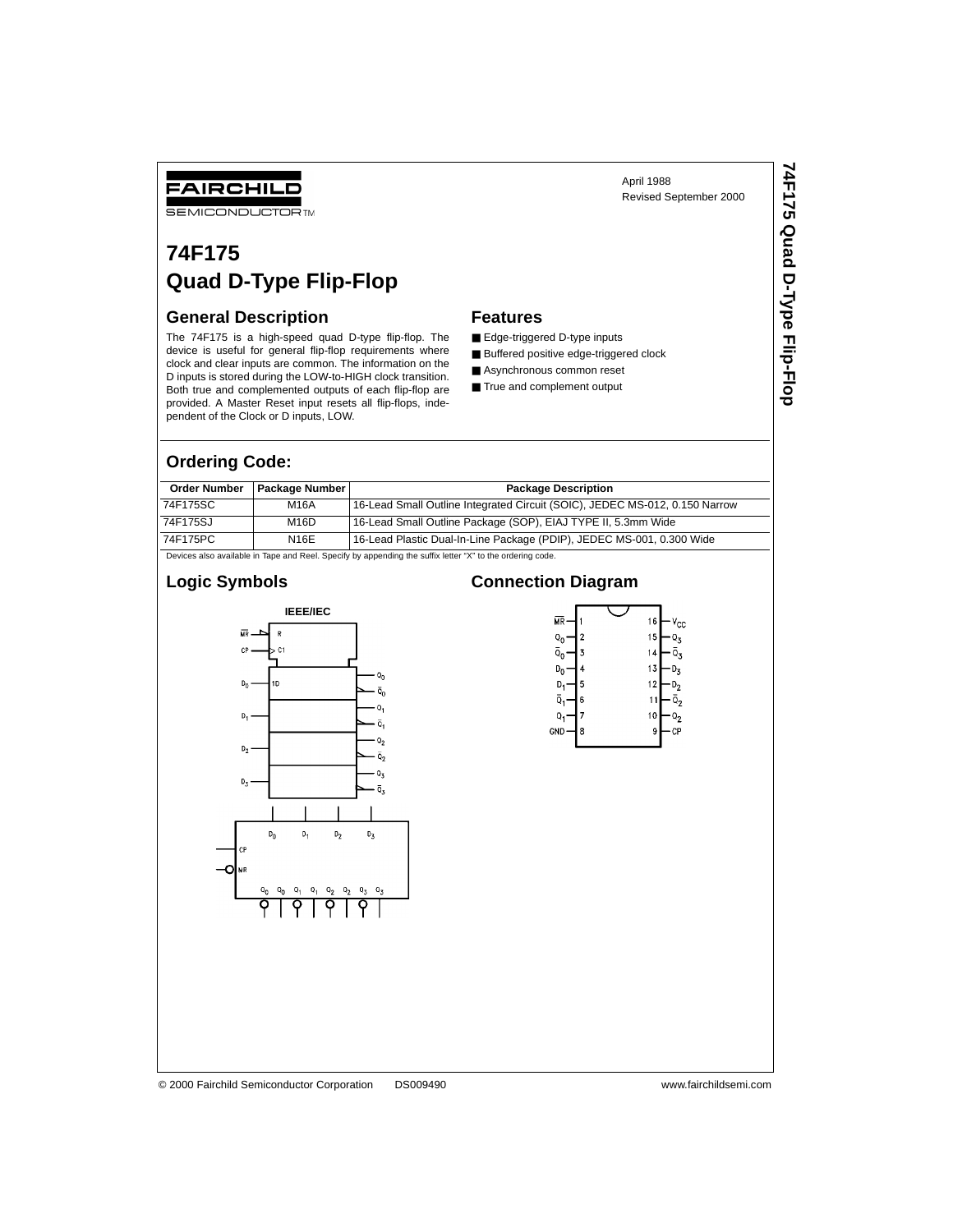#### April 1988 Revised September 2000

# FAIRCHILD

**SEMICONDUCTOR TM** 

# **74F175 Quad D-Type Flip-Flop**

#### **General Description**

The 74F175 is a high-speed quad D-type flip-flop. The device is useful for general flip-flop requirements where clock and clear inputs are common. The information on the D inputs is stored during the LOW-to-HIGH clock transition. Both true and complemented outputs of each flip-flop are provided. A Master Reset input resets all flip-flops, independent of the Clock or D inputs, LOW.

#### **Features**

- Edge-triggered D-type inputs
- Buffered positive edge-triggered clock
- Asynchronous common reset
- True and complement output

#### **Ordering Code:**

| <b>Order Number</b>                                                                                       | Package Number I | <b>Package Description</b>                                                  |  |  |  |
|-----------------------------------------------------------------------------------------------------------|------------------|-----------------------------------------------------------------------------|--|--|--|
| 74F175SC                                                                                                  | M16A             | 16-Lead Small Outline Integrated Circuit (SOIC), JEDEC MS-012, 0.150 Narrow |  |  |  |
| 74F175SJ                                                                                                  | M16D             | 16-Lead Small Outline Package (SOP), EIAJ TYPE II, 5.3mm Wide               |  |  |  |
| 74F175PC                                                                                                  | N16E             | 16-Lead Plastic Dual-In-Line Package (PDIP), JEDEC MS-001, 0.300 Wide       |  |  |  |
| Devices also available in Tape and Reel. Specify by appending the suffix letter "X" to the ordering code. |                  |                                                                             |  |  |  |

#### **Logic Symbols**



#### **Connection Diagram**

| МR             |   | 16<br>$v_{\rm cc}$         |
|----------------|---|----------------------------|
| Q <sub>0</sub> | 2 | 15<br>۱z                   |
| ō,             | 3 | $\bar{\mathsf{o}}_3$<br>14 |
| D <sub>n</sub> | 4 | 13<br>して                   |
|                | 5 | 12<br>υ,                   |
| ō.             | 6 | õ,                         |
| Q              | 7 | 10<br>わ                    |
| <b>GND</b>     | 8 | 9<br>СР                    |
|                |   |                            |

#### © 2000 Fairchild Semiconductor Corporation DS009490 www.fairchildsemi.com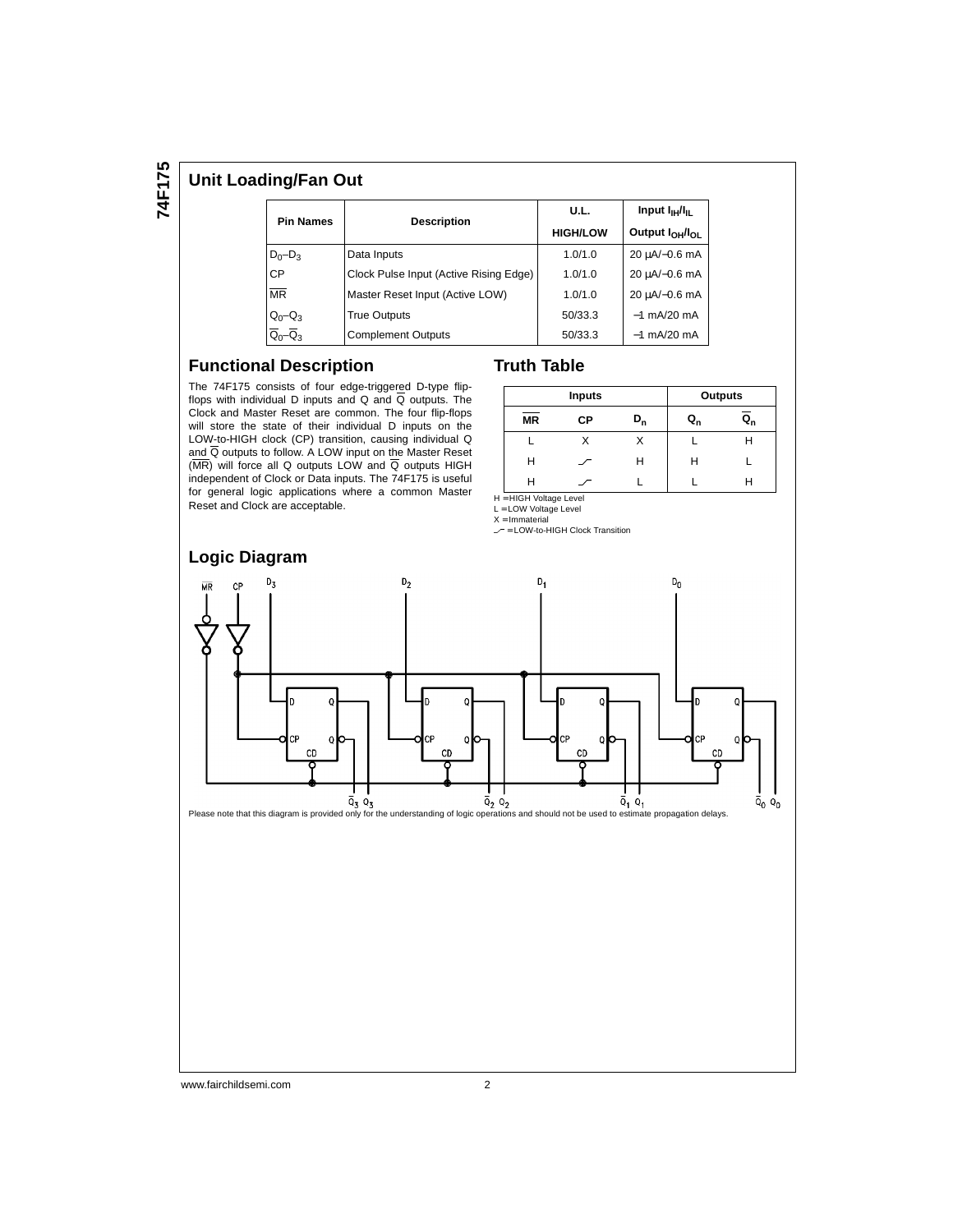#### **Unit Loading/Fan Out**

| <b>Pin Names</b>       |                                        | U.L.            | Input $I_{\text{H}}/I_{\text{H}}$       |  |
|------------------------|----------------------------------------|-----------------|-----------------------------------------|--|
|                        | <b>Description</b>                     | <b>HIGH/LOW</b> | Output I <sub>OH</sub> /I <sub>OL</sub> |  |
| $D_0 - D_3$            | Data Inputs                            | 1.0/1.0         | 20 uA/-0.6 mA                           |  |
| <b>CP</b>              | Clock Pulse Input (Active Rising Edge) | 1.0/1.0         | 20 uA/-0.6 mA                           |  |
| $\overline{\text{MR}}$ | Master Reset Input (Active LOW)        | 1.0/1.0         | 20 uA/-0.6 mA                           |  |
| $Q_0 - Q_3$            | <b>True Outputs</b>                    | 50/33.3         | $-1$ mA/20 mA                           |  |
|                        | <b>Complement Outputs</b>              | 50/33.3         | $-1$ mA/20 mA                           |  |

#### **Functional Description**

The 74F175 consists of four edge-triggered D-type flipflops with individual D inputs and Q and  $\overline{Q}$  outputs. The Clock and Master Reset are common. The four flip-flops will store the state of their individual D inputs on the LOW-to-HIGH clock (CP) transition, causing individual Q and Q outputs to follow. A LOW input on the Master Reset  $(MR)$  will force all Q outputs LOW and  $\overline{Q}$  outputs HIGH independent of Clock or Data inputs. The 74F175 is useful for general logic applications where a common Master Reset and Clock are acceptable.

|           | <b>Inputs</b> |    | <b>Outputs</b> |  |
|-----------|---------------|----|----------------|--|
| <b>MR</b> | СP            | Q, | $Q_{n}$        |  |
|           |               |    |                |  |
| Н         |               | н  | Н              |  |
|           |               |    |                |  |

H = HIGH Voltage Level L = LOW Voltage Level

**Truth Table**

 $X = ImmateriaI$ 

 $\sim$  = LOW-to-HIGH Clock Transition



#### **Logic Diagram**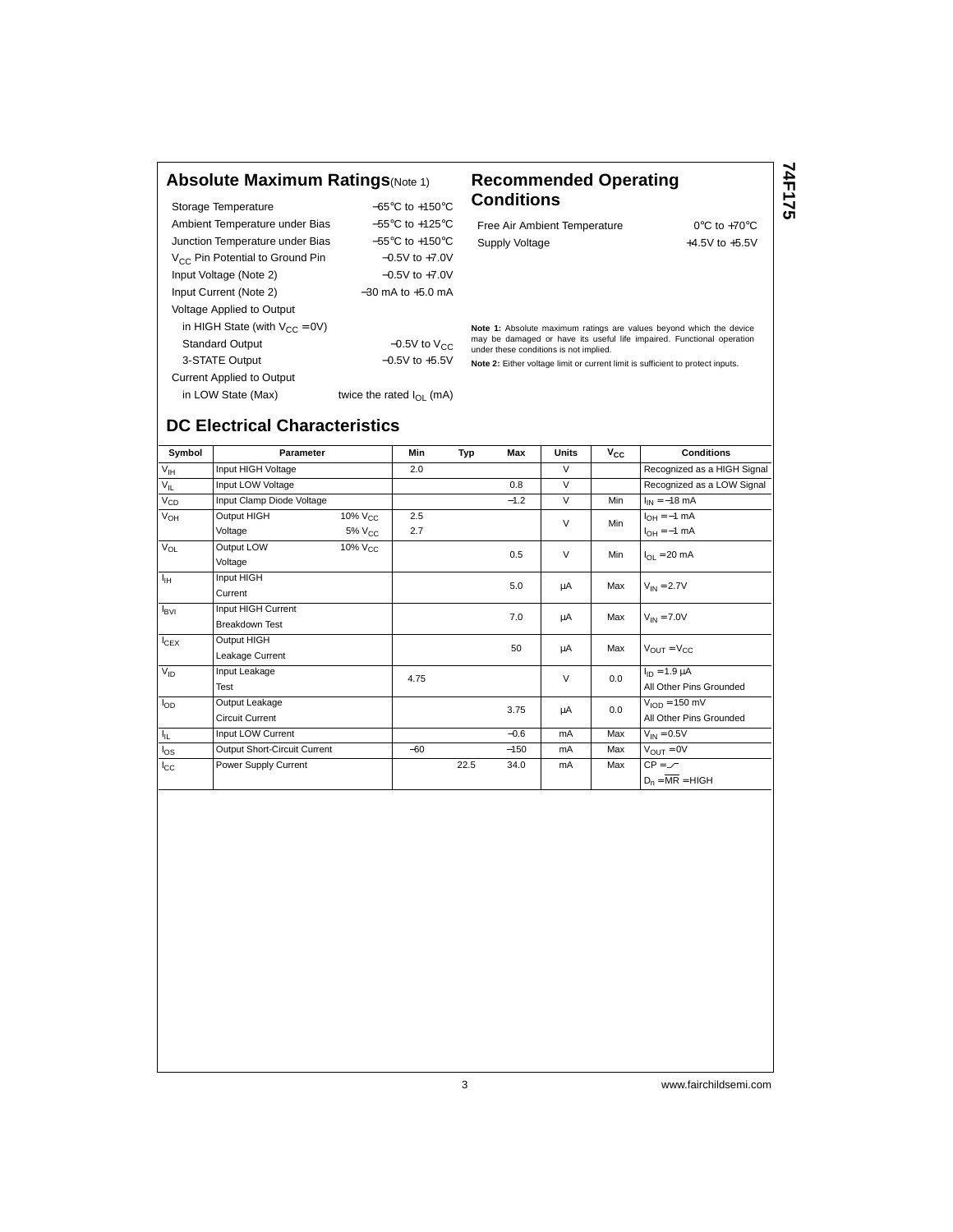#### **Absolute Maximum Ratings**(Note 1) **Recommended Operating**

Storage Temperature −65°C to +150°C Ambient Temperature under Bias −55°C to +125°C Junction Temperature under Bias −55°C to +150°C V<sub>CC</sub> Pin Potential to Ground Pin −0.5V to +7.0V Input Voltage (Note 2) −0.5V to +7.0V Input Current (Note 2) −30 mA to +5.0 mA Voltage Applied to Output in HIGH State (with  $V_{CC} = 0V$ ) Standard Output  $-0.5V$  to  $V_{CC}$ 3-STATE Output −0.5V to +5.5V Current Applied to Output in LOW State (Max) twice the rated  $I_{OL}$  (mA)

# **Conditions**

Free Air Ambient Temperature 0°C to +70°C Supply Voltage  $+4.5V$  to  $+5.5V$ 

**74F175**

**Note 1:** Absolute maximum ratings are values beyond which the device may be damaged or have its useful life impaired. Functional operation under these conditions is not implied.

**Note 2:** Either voltage limit or current limit is sufficient to protect inputs.

## **DC Electrical Characteristics**

Symbol **Parameter Min Typ Max Units V<sub>CC</sub> Conditions**  $V_{\text{IH}}$  Input HIGH Voltage 2.0 2.0 V Recognized as a HIGH Signal<br>  $V_{\text{II}}$  Input LOW Voltage 2.0 0.8 V Recognized as a LOW Signal  $V_{\rm IL}$  Input LOW Voltage  $0.8$  V Recognized as a LOW Signal VCD Input Clamp Diode Voltage −1.2 V Min IIN = −18 mA  $V_{\text{OH}}$  Output HIGH 10% V<sub>CC</sub> 2.5 V Min IOH = 1 mA Voltage 5% V<sub>CC</sub> 2.7 V Min  $V_{\text{OH}} = -1 \text{ mA}$ <br>Voltage 5% V<sub>CC</sub> 2.7 V Min  $V_{\text{OH}} = -1 \text{ mA}$  $V_{\text{OL}}$  Output LOW 10%  $V_{\text{CC}}$  0.5 V Min  $I_{\text{OL}} = 20 \text{ mA}$  $V_{\text{IH}}$  Input HIGH current the set of the set of the set of the set of the set of the set of the set of the set of the set of the set of the set of the set of the set of the set of the set of the set of the set of the  $\begin{array}{ccc}\nI_{\text{BVI}}\n\end{array}$  Input HIGH Current  $\begin{array}{ccc}\nI_{\text{BVI}}\n\end{array}$  7.0  $\begin{array}{ccc}\nI_{\text{A}}\n\end{array}$  Max  $\begin{array}{ccc}\nV_{\text{IN}}=7.0V\n\end{array}$  $\begin{array}{ccc} \text{I_{CEX}} & \text{Output HIGH} \ \text{Leakage Current} & \text{I_{CEX}} & \text{I_{E4A}} \end{array}$  $V_{\text{ID}}$  Input Leakage  $4.75$   $V = 0.0$   $I_{\text{ID}} = 1.9 \mu\text{A}$ Test All Other Pins Grounded<br>Test All Other Pins Grounded All Other Pins Grounded  $I_{OD}$  Output Leakage  $3.75$   $\mu$   $\mu$  0.0  $V_{IOD} = 150 \text{ mV}$ Circuit Current Current Current Current Current Current Current Current Current Current Current Current Current Current Current Current Current Current Current Current Current Current Current Current Current Current Curren  $I_{IL}$  Input LOW Current  $-0.6$  mA Max  $V_{IN} = 0.5V$  $I_{\text{OS}}$  Output Short-Circuit Current −60 −150 mA Max  $V_{\text{OUT}} = 0V$ <br>  $I_{\text{CC}}$  Power Supply Current 22.5 34.0 mA Max CP =  $\angle$  $I_{\rm CC}$ Power Supply Current 22.5 34.0 mA Max  $CP = \mathcal{F}$  $D_n = \overline{MR} = HIGH$ 

3 www.fairchildsemi.com